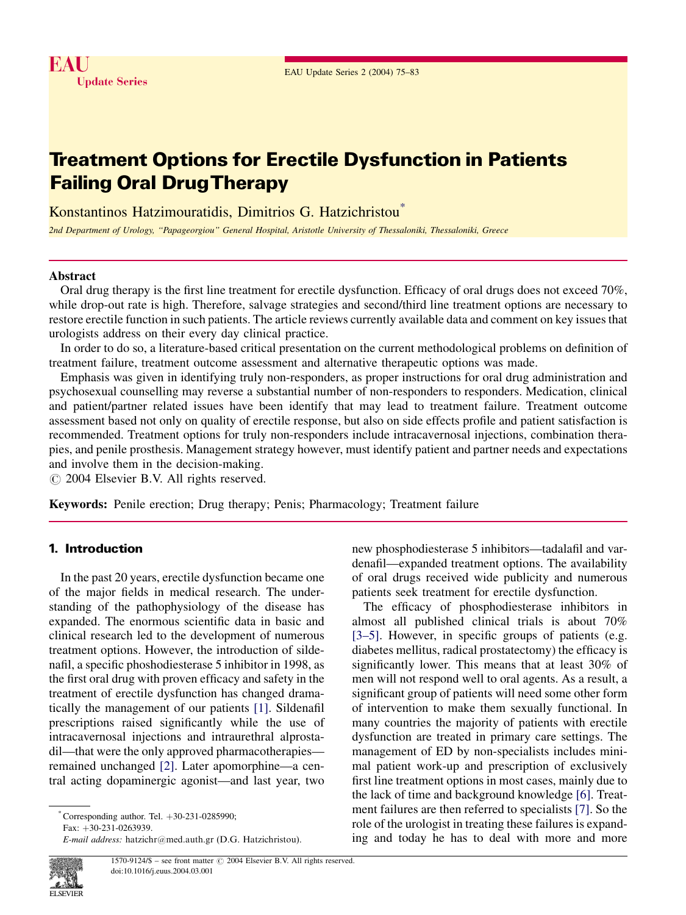

# Treatment Options for Erectile Dysfunction in Patients Failing Oral DrugTherapy

Konstantinos Hatzimouratidis, Dimitrios G. Hatzichristou<sup>®</sup>

2nd Department of Urology, ''Papageorgiou'' General Hospital, Aristotle University of Thessaloniki, Thessaloniki, Greece

# Abstract

Oral drug therapy is the first line treatment for erectile dysfunction. Efficacy of oral drugs does not exceed 70%, while drop-out rate is high. Therefore, salvage strategies and second/third line treatment options are necessary to restore erectile function in such patients. The article reviews currently available data and comment on key issues that urologists address on their every day clinical practice.

In order to do so, a literature-based critical presentation on the current methodological problems on definition of treatment failure, treatment outcome assessment and alternative therapeutic options was made.

Emphasis was given in identifying truly non-responders, as proper instructions for oral drug administration and psychosexual counselling may reverse a substantial number of non-responders to responders. Medication, clinical and patient/partner related issues have been identify that may lead to treatment failure. Treatment outcome assessment based not only on quality of erectile response, but also on side effects profile and patient satisfaction is recommended. Treatment options for truly non-responders include intracavernosal injections, combination therapies, and penile prosthesis. Management strategy however, must identify patient and partner needs and expectations and involve them in the decision-making.

 $\odot$  2004 Elsevier B.V. All rights reserved.

Keywords: Penile erection; Drug therapy; Penis; Pharmacology; Treatment failure

# 1. Introduction

In the past 20 years, erectile dysfunction became one of the major fields in medical research. The understanding of the pathophysiology of the disease has expanded. The enormous scientific data in basic and clinical research led to the development of numerous treatment options. However, the introduction of sildenafil, a specific phoshodiesterase 5 inhibitor in 1998, as the first oral drug with proven efficacy and safety in the treatment of erectile dysfunction has changed dramatically the management of our patients [\[1\]](#page-7-0). Sildenafil prescriptions raised significantly while the use of intracavernosal injections and intraurethral alprostadil—that were the only approved pharmacotherapies remained unchanged [\[2\]](#page-7-0). Later apomorphine—a central acting dopaminergic agonist—and last year, two

Fax: +30-231-0263939.

new phosphodiesterase 5 inhibitors—tadalafil and vardenafil—expanded treatment options. The availability of oral drugs received wide publicity and numerous patients seek treatment for erectile dysfunction.

The efficacy of phosphodiesterase inhibitors in almost all published clinical trials is about 70% [\[3–5\]](#page-7-0). However, in specific groups of patients (e.g. diabetes mellitus, radical prostatectomy) the efficacy is significantly lower. This means that at least 30% of men will not respond well to oral agents. As a result, a significant group of patients will need some other form of intervention to make them sexually functional. In many countries the majority of patients with erectile dysfunction are treated in primary care settings. The management of ED by non-specialists includes minimal patient work-up and prescription of exclusively first line treatment options in most cases, mainly due to the lack of time and background knowledge [\[6\].](#page-7-0) Treatment failures are then referred to specialists [\[7\].](#page-7-0) So the role of the urologist in treating these failures is expanding and today he has to deal with more and more



 $*$  Corresponding author. Tel.  $+30-231-0285990$ ;

E-mail address: hatzichr@med.auth.gr (D.G. Hatzichristou).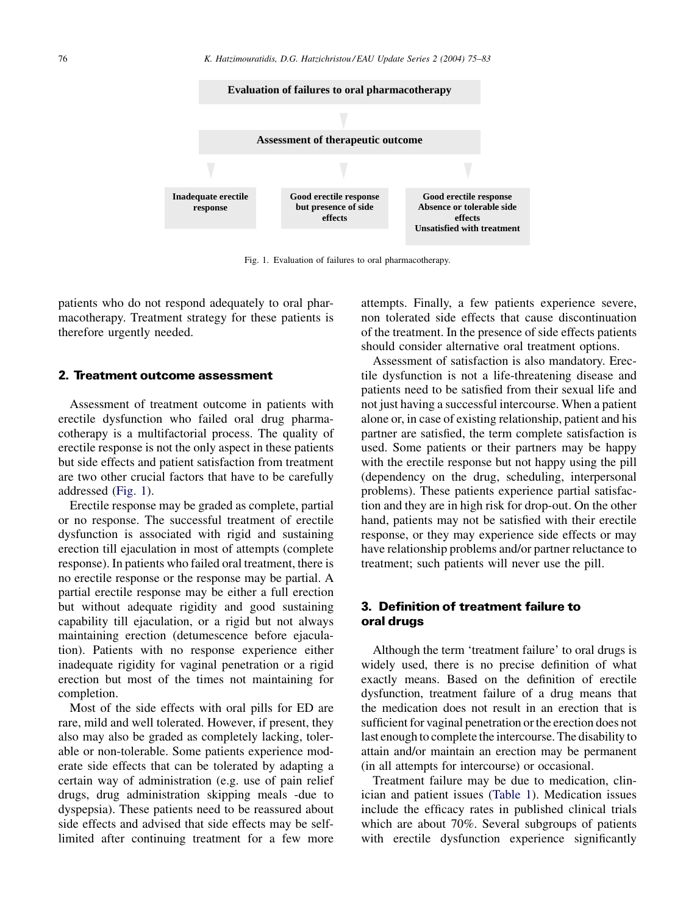

Fig. 1. Evaluation of failures to oral pharmacotherapy.

patients who do not respond adequately to oral pharmacotherapy. Treatment strategy for these patients is therefore urgently needed.

## 2. Treatment outcome assessment

Assessment of treatment outcome in patients with erectile dysfunction who failed oral drug pharmacotherapy is a multifactorial process. The quality of erectile response is not the only aspect in these patients but side effects and patient satisfaction from treatment are two other crucial factors that have to be carefully addressed (Fig. 1).

Erectile response may be graded as complete, partial or no response. The successful treatment of erectile dysfunction is associated with rigid and sustaining erection till ejaculation in most of attempts (complete response). In patients who failed oral treatment, there is no erectile response or the response may be partial. A partial erectile response may be either a full erection but without adequate rigidity and good sustaining capability till ejaculation, or a rigid but not always maintaining erection (detumescence before ejaculation). Patients with no response experience either inadequate rigidity for vaginal penetration or a rigid erection but most of the times not maintaining for completion.

Most of the side effects with oral pills for ED are rare, mild and well tolerated. However, if present, they also may also be graded as completely lacking, tolerable or non-tolerable. Some patients experience moderate side effects that can be tolerated by adapting a certain way of administration (e.g. use of pain relief drugs, drug administration skipping meals -due to dyspepsia). These patients need to be reassured about side effects and advised that side effects may be selflimited after continuing treatment for a few more attempts. Finally, a few patients experience severe, non tolerated side effects that cause discontinuation of the treatment. In the presence of side effects patients should consider alternative oral treatment options.

Assessment of satisfaction is also mandatory. Erectile dysfunction is not a life-threatening disease and patients need to be satisfied from their sexual life and not just having a successful intercourse. When a patient alone or, in case of existing relationship, patient and his partner are satisfied, the term complete satisfaction is used. Some patients or their partners may be happy with the erectile response but not happy using the pill (dependency on the drug, scheduling, interpersonal problems). These patients experience partial satisfaction and they are in high risk for drop-out. On the other hand, patients may not be satisfied with their erectile response, or they may experience side effects or may have relationship problems and/or partner reluctance to treatment; such patients will never use the pill.

# 3. Definition of treatment failure to oral drugs

Although the term 'treatment failure' to oral drugs is widely used, there is no precise definition of what exactly means. Based on the definition of erectile dysfunction, treatment failure of a drug means that the medication does not result in an erection that is sufficient for vaginal penetration or the erection does not last enough to complete the intercourse. The disability to attain and/or maintain an erection may be permanent (in all attempts for intercourse) or occasional.

Treatment failure may be due to medication, clinician and patient issues ([Table 1\)](#page-2-0). Medication issues include the efficacy rates in published clinical trials which are about 70%. Several subgroups of patients with erectile dysfunction experience significantly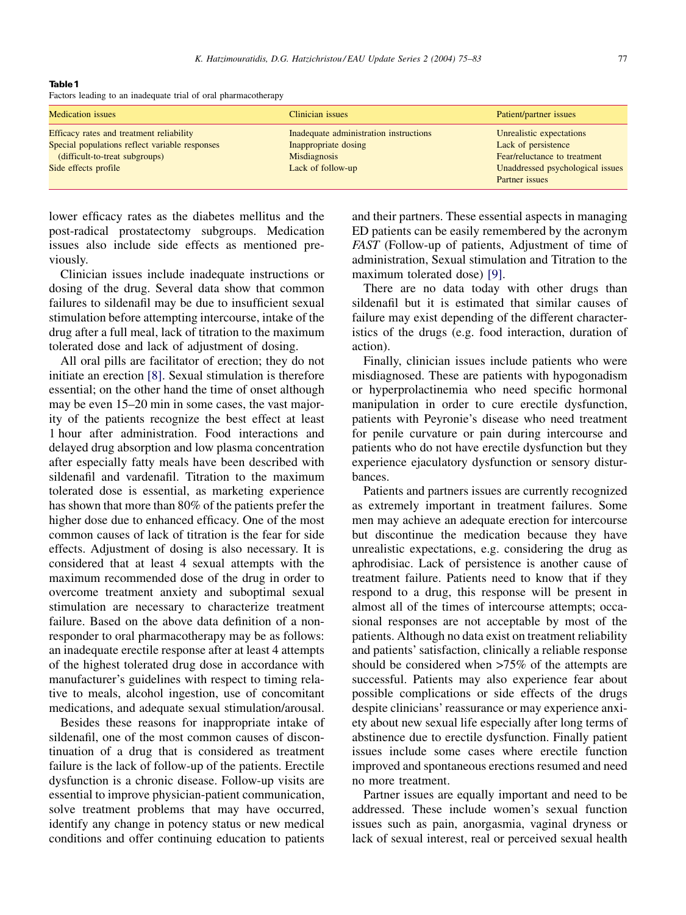<span id="page-2-0"></span>Table 1

Factors leading to an inadequate trial of oral pharmacotherapy

| <b>Medication</b> issues                       | Clinician issues                       | Patient/partner issues           |
|------------------------------------------------|----------------------------------------|----------------------------------|
| Efficacy rates and treatment reliability       | Inadequate administration instructions | Unrealistic expectations         |
| Special populations reflect variable responses | Inappropriate dosing                   | Lack of persistence              |
| (difficult-to-treat subgroups)                 | Misdiagnosis                           | Fear/reluctance to treatment     |
| Side effects profile                           | Lack of follow-up                      | Unaddressed psychological issues |
|                                                |                                        | Partner issues                   |

lower efficacy rates as the diabetes mellitus and the post-radical prostatectomy subgroups. Medication issues also include side effects as mentioned previously.

Clinician issues include inadequate instructions or dosing of the drug. Several data show that common failures to sildenafil may be due to insufficient sexual stimulation before attempting intercourse, intake of the drug after a full meal, lack of titration to the maximum tolerated dose and lack of adjustment of dosing.

All oral pills are facilitator of erection; they do not initiate an erection [\[8\].](#page-7-0) Sexual stimulation is therefore essential; on the other hand the time of onset although may be even 15–20 min in some cases, the vast majority of the patients recognize the best effect at least 1 hour after administration. Food interactions and delayed drug absorption and low plasma concentration after especially fatty meals have been described with sildenafil and vardenafil. Titration to the maximum tolerated dose is essential, as marketing experience has shown that more than 80% of the patients prefer the higher dose due to enhanced efficacy. One of the most common causes of lack of titration is the fear for side effects. Adjustment of dosing is also necessary. It is considered that at least 4 sexual attempts with the maximum recommended dose of the drug in order to overcome treatment anxiety and suboptimal sexual stimulation are necessary to characterize treatment failure. Based on the above data definition of a nonresponder to oral pharmacotherapy may be as follows: an inadequate erectile response after at least 4 attempts of the highest tolerated drug dose in accordance with manufacturer's guidelines with respect to timing relative to meals, alcohol ingestion, use of concomitant medications, and adequate sexual stimulation/arousal.

Besides these reasons for inappropriate intake of sildenafil, one of the most common causes of discontinuation of a drug that is considered as treatment failure is the lack of follow-up of the patients. Erectile dysfunction is a chronic disease. Follow-up visits are essential to improve physician-patient communication, solve treatment problems that may have occurred, identify any change in potency status or new medical conditions and offer continuing education to patients

and their partners. These essential aspects in managing ED patients can be easily remembered by the acronym FAST (Follow-up of patients, Adjustment of time of administration, Sexual stimulation and Titration to the maximum tolerated dose) [\[9\]](#page-7-0).

There are no data today with other drugs than sildenafil but it is estimated that similar causes of failure may exist depending of the different characteristics of the drugs (e.g. food interaction, duration of action).

Finally, clinician issues include patients who were misdiagnosed. These are patients with hypogonadism or hyperprolactinemia who need specific hormonal manipulation in order to cure erectile dysfunction, patients with Peyronie's disease who need treatment for penile curvature or pain during intercourse and patients who do not have erectile dysfunction but they experience ejaculatory dysfunction or sensory disturbances.

Patients and partners issues are currently recognized as extremely important in treatment failures. Some men may achieve an adequate erection for intercourse but discontinue the medication because they have unrealistic expectations, e.g. considering the drug as aphrodisiac. Lack of persistence is another cause of treatment failure. Patients need to know that if they respond to a drug, this response will be present in almost all of the times of intercourse attempts; occasional responses are not acceptable by most of the patients. Although no data exist on treatment reliability and patients' satisfaction, clinically a reliable response should be considered when >75% of the attempts are successful. Patients may also experience fear about possible complications or side effects of the drugs despite clinicians' reassurance or may experience anxiety about new sexual life especially after long terms of abstinence due to erectile dysfunction. Finally patient issues include some cases where erectile function improved and spontaneous erections resumed and need no more treatment.

Partner issues are equally important and need to be addressed. These include women's sexual function issues such as pain, anorgasmia, vaginal dryness or lack of sexual interest, real or perceived sexual health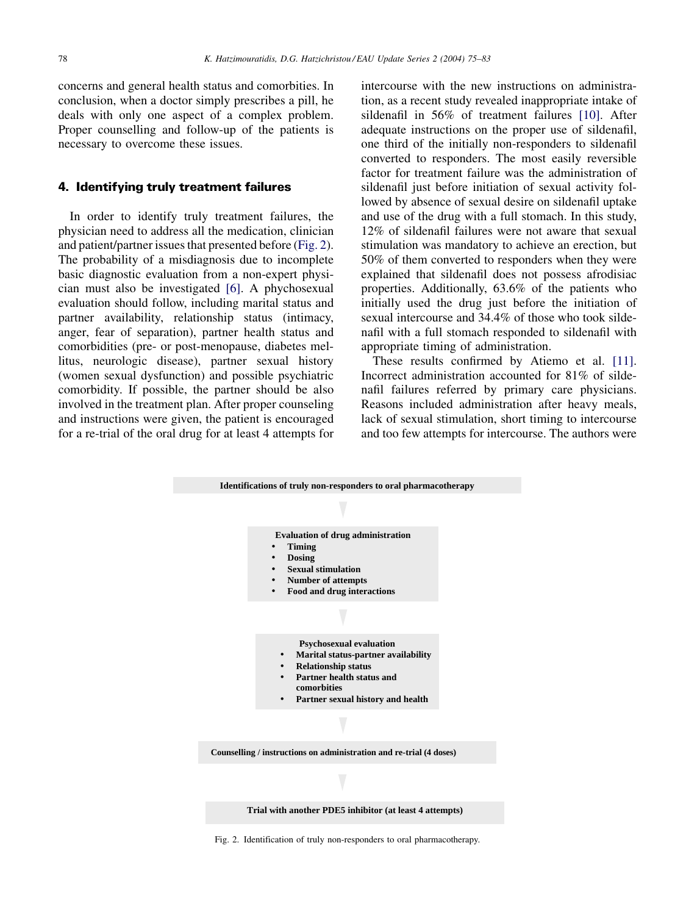concerns and general health status and comorbities. In conclusion, when a doctor simply prescribes a pill, he deals with only one aspect of a complex problem. Proper counselling and follow-up of the patients is necessary to overcome these issues.

## 4. Identifying truly treatment failures

In order to identify truly treatment failures, the physician need to address all the medication, clinician and patient/partner issues that presented before (Fig. 2). The probability of a misdiagnosis due to incomplete basic diagnostic evaluation from a non-expert physician must also be investigated [\[6\].](#page-7-0) A phychosexual evaluation should follow, including marital status and partner availability, relationship status (intimacy, anger, fear of separation), partner health status and comorbidities (pre- or post-menopause, diabetes mellitus, neurologic disease), partner sexual history (women sexual dysfunction) and possible psychiatric comorbidity. If possible, the partner should be also involved in the treatment plan. After proper counseling and instructions were given, the patient is encouraged for a re-trial of the oral drug for at least 4 attempts for intercourse with the new instructions on administration, as a recent study revealed inappropriate intake of sildenafil in 56% of treatment failures [\[10\].](#page-7-0) After adequate instructions on the proper use of sildenafil, one third of the initially non-responders to sildenafil converted to responders. The most easily reversible factor for treatment failure was the administration of sildenafil just before initiation of sexual activity followed by absence of sexual desire on sildenafil uptake and use of the drug with a full stomach. In this study, 12% of sildenafil failures were not aware that sexual stimulation was mandatory to achieve an erection, but 50% of them converted to responders when they were explained that sildenafil does not possess afrodisiac properties. Additionally, 63.6% of the patients who initially used the drug just before the initiation of sexual intercourse and 34.4% of those who took sildenafil with a full stomach responded to sildenafil with appropriate timing of administration.

These results confirmed by Atiemo et al. [\[11\]](#page-7-0). Incorrect administration accounted for 81% of sildenafil failures referred by primary care physicians. Reasons included administration after heavy meals, lack of sexual stimulation, short timing to intercourse and too few attempts for intercourse. The authors were



Fig. 2. Identification of truly non-responders to oral pharmacotherapy.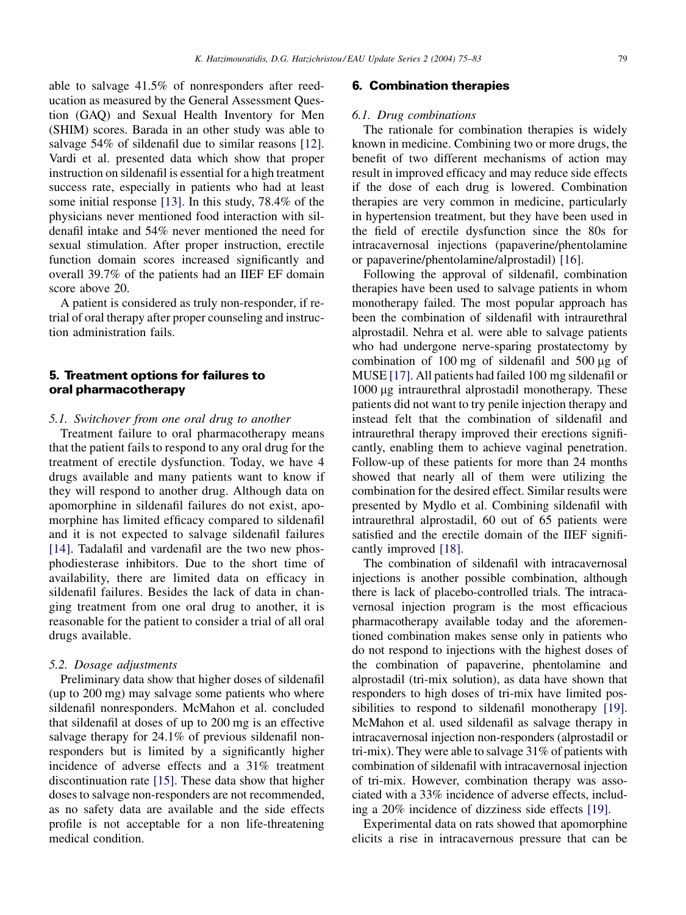able to salvage 41.5% of nonresponders after reeducation as measured by the General Assessment Question (GAQ) and Sexual Health Inventory for Men (SHIM) scores. Barada in an other study was able to salvage 54% of sildenafil due to similar reasons [\[12\].](#page-7-0) Vardi et al. presented data which show that proper instruction on sildenafil is essential for a high treatment success rate, especially in patients who had at least some initial response [\[13\].](#page-7-0) In this study, 78.4% of the physicians never mentioned food interaction with sildenafil intake and 54% never mentioned the need for sexual stimulation. After proper instruction, erectile function domain scores increased significantly and overall 39.7% of the patients had an IIEF EF domain score above 20.

A patient is considered as truly non-responder, if retrial of oral therapy after proper counseling and instruction administration fails.

# 5. Treatment options for failures to oral pharmacotherapy

#### 5.1. Switchover from one oral drug to another

Treatment failure to oral pharmacotherapy means that the patient fails to respond to any oral drug for the treatment of erectile dysfunction. Today, we have 4 drugs available and many patients want to know if they will respond to another drug. Although data on apomorphine in sildenafil failures do not exist, apomorphine has limited efficacy compared to sildenafil and it is not expected to salvage sildenafil failures [\[14\]](#page-7-0). Tadalafil and vardenafil are the two new phosphodiesterase inhibitors. Due to the short time of availability, there are limited data on efficacy in sildenafil failures. Besides the lack of data in changing treatment from one oral drug to another, it is reasonable for the patient to consider a trial of all oral drugs available.

#### 5.2. Dosage adjustments

Preliminary data show that higher doses of sildenafil (up to 200 mg) may salvage some patients who where sildenafil nonresponders. McMahon et al. concluded that sildenafil at doses of up to 200 mg is an effective salvage therapy for 24.1% of previous sildenafil nonresponders but is limited by a significantly higher incidence of adverse effects and a 31% treatment discontinuation rate [\[15\]](#page-7-0). These data show that higher doses to salvage non-responders are not recommended, as no safety data are available and the side effects profile is not acceptable for a non life-threatening medical condition.

## 6. Combination therapies

#### 6.1. Drug combinations

The rationale for combination therapies is widely known in medicine. Combining two or more drugs, the benefit of two different mechanisms of action may result in improved efficacy and may reduce side effects if the dose of each drug is lowered. Combination therapies are very common in medicine, particularly in hypertension treatment, but they have been used in the field of erectile dysfunction since the 80s for intracavernosal injections (papaverine/phentolamine or papaverine/phentolamine/alprostadil) [\[16\]](#page-7-0).

Following the approval of sildenafil, combination therapies have been used to salvage patients in whom monotherapy failed. The most popular approach has been the combination of sildenafil with intraurethral alprostadil. Nehra et al. were able to salvage patients who had undergone nerve-sparing prostatectomy by combination of 100 mg of sildenafil and  $500 \mu$ g of MUSE [\[17\]](#page-7-0). All patients had failed 100 mg sildenafil or 1000 mg intraurethral alprostadil monotherapy. These patients did not want to try penile injection therapy and instead felt that the combination of sildenafil and intraurethral therapy improved their erections significantly, enabling them to achieve vaginal penetration. Follow-up of these patients for more than 24 months showed that nearly all of them were utilizing the combination for the desired effect. Similar results were presented by Mydlo et al. Combining sildenafil with intraurethral alprostadil, 60 out of 65 patients were satisfied and the erectile domain of the IIEF significantly improved [\[18\].](#page-7-0)

The combination of sildenafil with intracavernosal injections is another possible combination, although there is lack of placebo-controlled trials. The intracavernosal injection program is the most efficacious pharmacotherapy available today and the aforementioned combination makes sense only in patients who do not respond to injections with the highest doses of the combination of papaverine, phentolamine and alprostadil (tri-mix solution), as data have shown that responders to high doses of tri-mix have limited pos-sibilities to respond to sildenafil monotherapy [\[19\].](#page-7-0) McMahon et al. used sildenafil as salvage therapy in intracavernosal injection non-responders (alprostadil or tri-mix). They were able to salvage 31% of patients with combination of sildenafil with intracavernosal injection of tri-mix. However, combination therapy was associated with a 33% incidence of adverse effects, including a 20% incidence of dizziness side effects [\[19\].](#page-7-0)

Experimental data on rats showed that apomorphine elicits a rise in intracavernous pressure that can be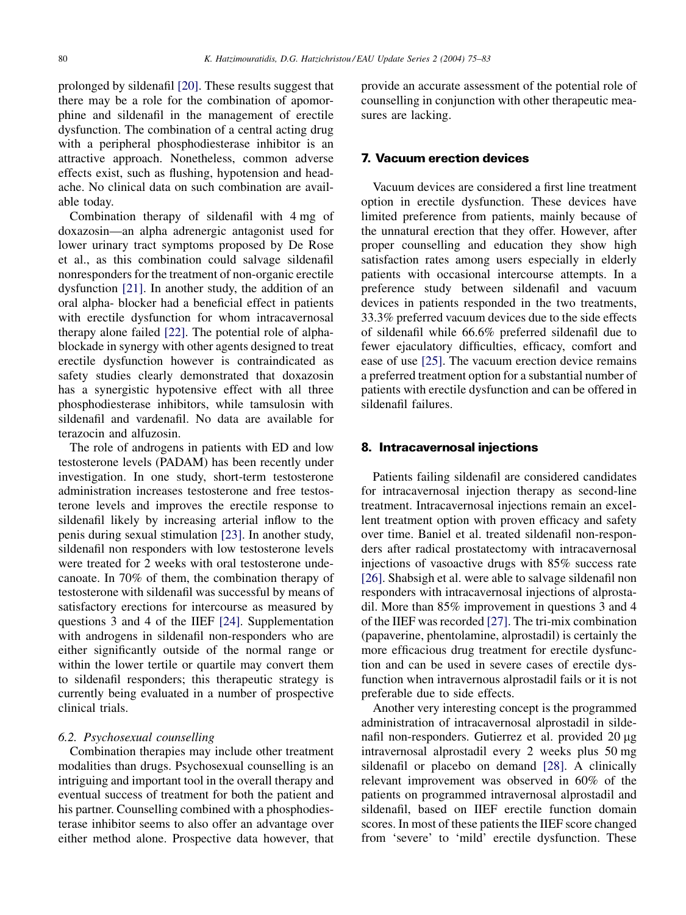prolonged by sildenafil [\[20\]](#page-7-0). These results suggest that there may be a role for the combination of apomorphine and sildenafil in the management of erectile dysfunction. The combination of a central acting drug with a peripheral phosphodiesterase inhibitor is an attractive approach. Nonetheless, common adverse effects exist, such as flushing, hypotension and headache. No clinical data on such combination are available today.

Combination therapy of sildenafil with 4 mg of doxazosin—an alpha adrenergic antagonist used for lower urinary tract symptoms proposed by De Rose et al., as this combination could salvage sildenafil nonresponders for the treatment of non-organic erectile dysfunction [\[21\]](#page-7-0). In another study, the addition of an oral alpha- blocker had a beneficial effect in patients with erectile dysfunction for whom intracavernosal therapy alone failed [\[22\].](#page-7-0) The potential role of alphablockade in synergy with other agents designed to treat erectile dysfunction however is contraindicated as safety studies clearly demonstrated that doxazosin has a synergistic hypotensive effect with all three phosphodiesterase inhibitors, while tamsulosin with sildenafil and vardenafil. No data are available for terazocin and alfuzosin.

The role of androgens in patients with ED and low testosterone levels (PADAM) has been recently under investigation. In one study, short-term testosterone administration increases testosterone and free testosterone levels and improves the erectile response to sildenafil likely by increasing arterial inflow to the penis during sexual stimulation [\[23\]](#page-7-0). In another study, sildenafil non responders with low testosterone levels were treated for 2 weeks with oral testosterone undecanoate. In 70% of them, the combination therapy of testosterone with sildenafil was successful by means of satisfactory erections for intercourse as measured by questions 3 and 4 of the IIEF [\[24\]](#page-7-0). Supplementation with androgens in sildenafil non-responders who are either significantly outside of the normal range or within the lower tertile or quartile may convert them to sildenafil responders; this therapeutic strategy is currently being evaluated in a number of prospective clinical trials.

#### 6.2. Psychosexual counselling

Combination therapies may include other treatment modalities than drugs. Psychosexual counselling is an intriguing and important tool in the overall therapy and eventual success of treatment for both the patient and his partner. Counselling combined with a phosphodiesterase inhibitor seems to also offer an advantage over either method alone. Prospective data however, that provide an accurate assessment of the potential role of counselling in conjunction with other therapeutic measures are lacking.

# 7. Vacuum erection devices

Vacuum devices are considered a first line treatment option in erectile dysfunction. These devices have limited preference from patients, mainly because of the unnatural erection that they offer. However, after proper counselling and education they show high satisfaction rates among users especially in elderly patients with occasional intercourse attempts. In a preference study between sildenafil and vacuum devices in patients responded in the two treatments, 33.3% preferred vacuum devices due to the side effects of sildenafil while 66.6% preferred sildenafil due to fewer ejaculatory difficulties, efficacy, comfort and ease of use [\[25\]](#page-7-0). The vacuum erection device remains a preferred treatment option for a substantial number of patients with erectile dysfunction and can be offered in sildenafil failures.

## 8. Intracavernosal injections

Patients failing sildenafil are considered candidates for intracavernosal injection therapy as second-line treatment. Intracavernosal injections remain an excellent treatment option with proven efficacy and safety over time. Baniel et al. treated sildenafil non-responders after radical prostatectomy with intracavernosal injections of vasoactive drugs with 85% success rate [\[26\].](#page-7-0) Shabsigh et al. were able to salvage sildenafil non responders with intracavernosal injections of alprostadil. More than 85% improvement in questions 3 and 4 of the IIEF was recorded [\[27\].](#page-7-0) The tri-mix combination (papaverine, phentolamine, alprostadil) is certainly the more efficacious drug treatment for erectile dysfunction and can be used in severe cases of erectile dysfunction when intravernous alprostadil fails or it is not preferable due to side effects.

Another very interesting concept is the programmed administration of intracavernosal alprostadil in sildenafil non-responders. Gutierrez et al. provided 20 µg intravernosal alprostadil every 2 weeks plus 50 mg sildenafil or placebo on demand [\[28\].](#page-7-0) A clinically relevant improvement was observed in 60% of the patients on programmed intravernosal alprostadil and sildenafil, based on IIEF erectile function domain scores. In most of these patients the IIEF score changed from 'severe' to 'mild' erectile dysfunction. These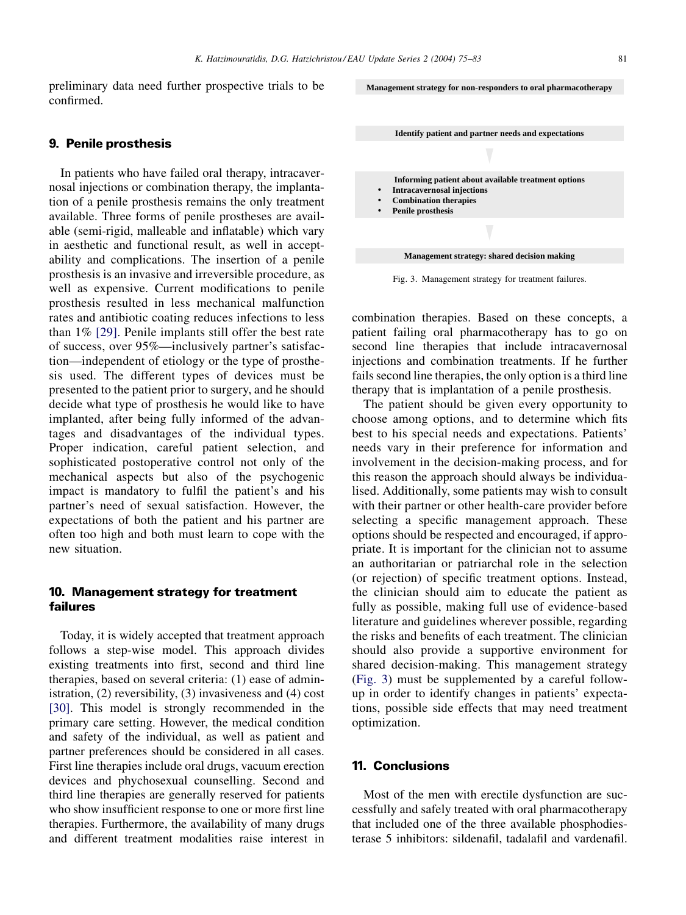preliminary data need further prospective trials to be confirmed.

## 9. Penile prosthesis

In patients who have failed oral therapy, intracavernosal injections or combination therapy, the implantation of a penile prosthesis remains the only treatment available. Three forms of penile prostheses are available (semi-rigid, malleable and inflatable) which vary in aesthetic and functional result, as well in acceptability and complications. The insertion of a penile prosthesis is an invasive and irreversible procedure, as well as expensive. Current modifications to penile prosthesis resulted in less mechanical malfunction rates and antibiotic coating reduces infections to less than 1% [\[29\].](#page-7-0) Penile implants still offer the best rate of success, over 95%—inclusively partner's satisfaction—independent of etiology or the type of prosthesis used. The different types of devices must be presented to the patient prior to surgery, and he should decide what type of prosthesis he would like to have implanted, after being fully informed of the advantages and disadvantages of the individual types. Proper indication, careful patient selection, and sophisticated postoperative control not only of the mechanical aspects but also of the psychogenic impact is mandatory to fulfil the patient's and his partner's need of sexual satisfaction. However, the expectations of both the patient and his partner are often too high and both must learn to cope with the new situation.

# 10. Management strategy for treatment failures

Today, it is widely accepted that treatment approach follows a step-wise model. This approach divides existing treatments into first, second and third line therapies, based on several criteria: (1) ease of administration, (2) reversibility, (3) invasiveness and (4) cost [\[30\].](#page-7-0) This model is strongly recommended in the primary care setting. However, the medical condition and safety of the individual, as well as patient and partner preferences should be considered in all cases. First line therapies include oral drugs, vacuum erection devices and phychosexual counselling. Second and third line therapies are generally reserved for patients who show insufficient response to one or more first line therapies. Furthermore, the availability of many drugs and different treatment modalities raise interest in

**Management strategy for non-responders to oral pharmacotherapy**



Fig. 3. Management strategy for treatment failures.

combination therapies. Based on these concepts, a patient failing oral pharmacotherapy has to go on second line therapies that include intracavernosal injections and combination treatments. If he further fails second line therapies, the only option is a third line therapy that is implantation of a penile prosthesis.

The patient should be given every opportunity to choose among options, and to determine which fits best to his special needs and expectations. Patients' needs vary in their preference for information and involvement in the decision-making process, and for this reason the approach should always be individualised. Additionally, some patients may wish to consult with their partner or other health-care provider before selecting a specific management approach. These options should be respected and encouraged, if appropriate. It is important for the clinician not to assume an authoritarian or patriarchal role in the selection (or rejection) of specific treatment options. Instead, the clinician should aim to educate the patient as fully as possible, making full use of evidence-based literature and guidelines wherever possible, regarding the risks and benefits of each treatment. The clinician should also provide a supportive environment for shared decision-making. This management strategy (Fig. 3) must be supplemented by a careful followup in order to identify changes in patients' expectations, possible side effects that may need treatment optimization.

# 11. Conclusions

Most of the men with erectile dysfunction are successfully and safely treated with oral pharmacotherapy that included one of the three available phosphodiesterase 5 inhibitors: sildenafil, tadalafil and vardenafil.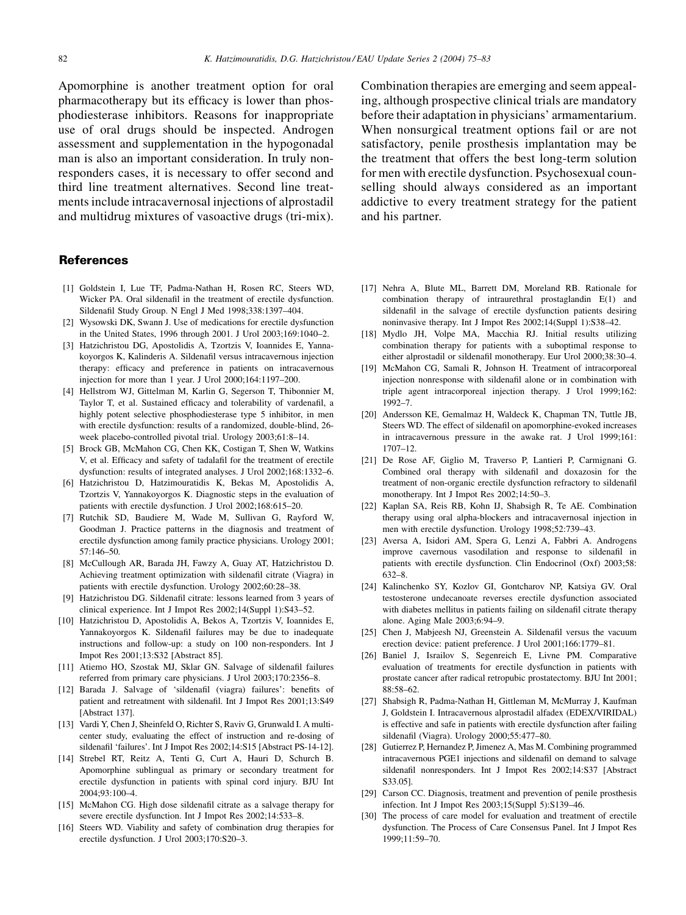<span id="page-7-0"></span>Apomorphine is another treatment option for oral pharmacotherapy but its efficacy is lower than phosphodiesterase inhibitors. Reasons for inappropriate use of oral drugs should be inspected. Androgen assessment and supplementation in the hypogonadal man is also an important consideration. In truly nonresponders cases, it is necessary to offer second and third line treatment alternatives. Second line treatments include intracavernosal injections of alprostadil and multidrug mixtures of vasoactive drugs (tri-mix).

# **References**

- [1] Goldstein I, Lue TF, Padma-Nathan H, Rosen RC, Steers WD, Wicker PA. Oral sildenafil in the treatment of erectile dysfunction. Sildenafil Study Group. N Engl J Med 1998;338:1397–404.
- [2] Wysowski DK, Swann J. Use of medications for erectile dysfunction in the United States, 1996 through 2001. J Urol 2003;169:1040–2.
- [3] Hatzichristou DG, Apostolidis A, Tzortzis V, Ioannides E, Yannakoyorgos K, Kalinderis A. Sildenafil versus intracavernous injection therapy: efficacy and preference in patients on intracavernous injection for more than 1 year. J Urol 2000;164:1197–200.
- [4] Hellstrom WJ, Gittelman M, Karlin G, Segerson T, Thibonnier M, Taylor T, et al. Sustained efficacy and tolerability of vardenafil, a highly potent selective phosphodiesterase type 5 inhibitor, in men with erectile dysfunction: results of a randomized, double-blind, 26 week placebo-controlled pivotal trial. Urology 2003;61:8–14.
- [5] Brock GB, McMahon CG, Chen KK, Costigan T, Shen W, Watkins V, et al. Efficacy and safety of tadalafil for the treatment of erectile dysfunction: results of integrated analyses. J Urol 2002;168:1332–6.
- [6] Hatzichristou D, Hatzimouratidis K, Bekas M, Apostolidis A, Tzortzis V, Yannakoyorgos K. Diagnostic steps in the evaluation of patients with erectile dysfunction. J Urol 2002;168:615–20.
- [7] Rutchik SD, Baudiere M, Wade M, Sullivan G, Rayford W, Goodman J. Practice patterns in the diagnosis and treatment of erectile dysfunction among family practice physicians. Urology 2001; 57:146–50.
- [8] McCullough AR, Barada JH, Fawzy A, Guay AT, Hatzichristou D. Achieving treatment optimization with sildenafil citrate (Viagra) in patients with erectile dysfunction. Urology 2002;60:28–38.
- [9] Hatzichristou DG. Sildenafil citrate: lessons learned from 3 years of clinical experience. Int J Impot Res 2002;14(Suppl 1):S43–52.
- [10] Hatzichristou D, Apostolidis A, Bekos A, Tzortzis V, Ioannides E, Yannakoyorgos K. Sildenafil failures may be due to inadequate instructions and follow-up: a study on 100 non-responders. Int J Impot Res 2001;13:S32 [Abstract 85].
- [11] Atiemo HO, Szostak MJ, Sklar GN. Salvage of sildenafil failures referred from primary care physicians. J Urol 2003;170:2356–8.
- [12] Barada J. Salvage of 'sildenafil (viagra) failures': benefits of patient and retreatment with sildenafil. Int J Impot Res 2001;13:S49 [Abstract 137].
- [13] Vardi Y, Chen J, Sheinfeld O, Richter S, Raviv G, Grunwald I. A multicenter study, evaluating the effect of instruction and re-dosing of sildenafil 'failures'. Int J Impot Res 2002;14:S15 [Abstract PS-14-12].
- [14] Strebel RT, Reitz A, Tenti G, Curt A, Hauri D, Schurch B. Apomorphine sublingual as primary or secondary treatment for erectile dysfunction in patients with spinal cord injury. BJU Int 2004;93:100–4.
- [15] McMahon CG. High dose sildenafil citrate as a salvage therapy for severe erectile dysfunction. Int J Impot Res 2002;14:533–8.
- [16] Steers WD. Viability and safety of combination drug therapies for erectile dysfunction. J Urol 2003;170:S20–3.

Combination therapies are emerging and seem appealing, although prospective clinical trials are mandatory before their adaptation in physicians' armamentarium. When nonsurgical treatment options fail or are not satisfactory, penile prosthesis implantation may be the treatment that offers the best long-term solution for men with erectile dysfunction. Psychosexual counselling should always considered as an important addictive to every treatment strategy for the patient and his partner.

- [17] Nehra A, Blute ML, Barrett DM, Moreland RB. Rationale for combination therapy of intraurethral prostaglandin E(1) and sildenafil in the salvage of erectile dysfunction patients desiring noninvasive therapy. Int J Impot Res 2002;14(Suppl 1):S38–42.
- [18] Mydlo JH, Volpe MA, Macchia RJ. Initial results utilizing combination therapy for patients with a suboptimal response to either alprostadil or sildenafil monotherapy. Eur Urol 2000;38:30–4.
- [19] McMahon CG, Samali R, Johnson H. Treatment of intracorporeal injection nonresponse with sildenafil alone or in combination with triple agent intracorporeal injection therapy. J Urol 1999;162: 1992–7.
- [20] Andersson KE, Gemalmaz H, Waldeck K, Chapman TN, Tuttle JB, Steers WD. The effect of sildenafil on apomorphine-evoked increases in intracavernous pressure in the awake rat. J Urol 1999;161: 1707–12.
- [21] De Rose AF, Giglio M, Traverso P, Lantieri P, Carmignani G. Combined oral therapy with sildenafil and doxazosin for the treatment of non-organic erectile dysfunction refractory to sildenafil monotherapy. Int J Impot Res 2002;14:50–3.
- [22] Kaplan SA, Reis RB, Kohn IJ, Shabsigh R, Te AE. Combination therapy using oral alpha-blockers and intracavernosal injection in men with erectile dysfunction. Urology 1998;52:739–43.
- [23] Aversa A, Isidori AM, Spera G, Lenzi A, Fabbri A. Androgens improve cavernous vasodilation and response to sildenafil in patients with erectile dysfunction. Clin Endocrinol (Oxf) 2003;58: 632–8.
- [24] Kalinchenko SY, Kozlov GI, Gontcharov NP, Katsiya GV. Oral testosterone undecanoate reverses erectile dysfunction associated with diabetes mellitus in patients failing on sildenafil citrate therapy alone. Aging Male 2003;6:94–9.
- [25] Chen J, Mabieesh NJ, Greenstein A, Sildenafil versus the vacuum erection device: patient preference. J Urol 2001;166:1779–81.
- [26] Baniel J, Israilov S, Segenreich E, Livne PM. Comparative evaluation of treatments for erectile dysfunction in patients with prostate cancer after radical retropubic prostatectomy. BJU Int 2001; 88:58–62.
- [27] Shabsigh R, Padma-Nathan H, Gittleman M, McMurray J, Kaufman J, Goldstein I. Intracavernous alprostadil alfadex (EDEX/VIRIDAL) is effective and safe in patients with erectile dysfunction after failing sildenafil (Viagra). Urology 2000;55:477–80.
- [28] Gutierrez P, Hernandez P, Jimenez A, Mas M. Combining programmed intracavernous PGE1 injections and sildenafil on demand to salvage sildenafil nonresponders. Int J Impot Res 2002;14:S37 [Abstract S33.05].
- [29] Carson CC. Diagnosis, treatment and prevention of penile prosthesis infection. Int J Impot Res 2003;15(Suppl 5):S139–46.
- [30] The process of care model for evaluation and treatment of erectile dysfunction. The Process of Care Consensus Panel. Int J Impot Res 1999;11:59–70.